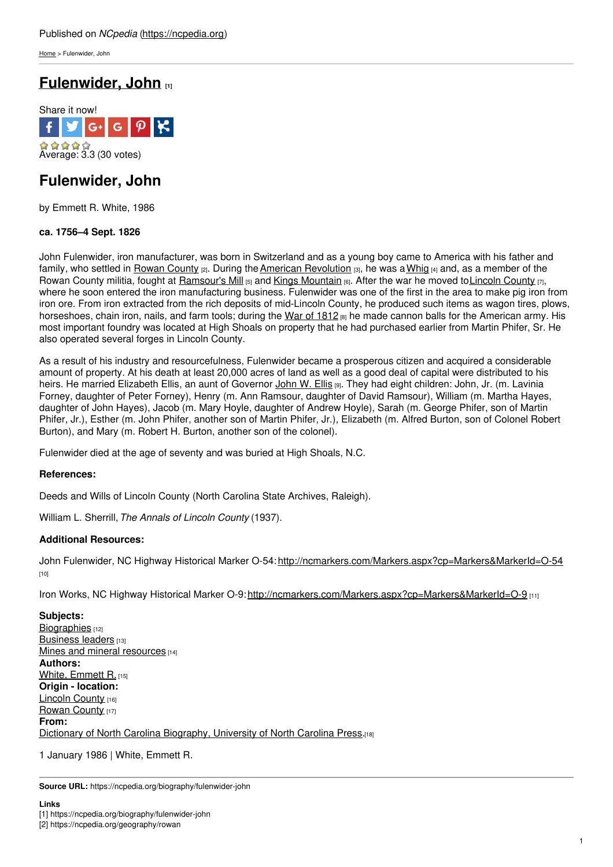[Home](https://ncpedia.org/) > Fulenwider, John

# **[Fulenwider,](https://ncpedia.org/biography/fulenwider-john) John [1]**



# **Fulenwider, John**

by Emmett R. White, 1986

## **ca. 1756–4 Sept. 1826**

John Fulenwider, iron manufacturer, was born in Switzerland and as a young boy came to America with his father and family, who settled in Rowan [County](https://ncpedia.org/geography/rowan)  $_{[2]}$ . During the American [Revolution](https://ncpedia.org/american-revolution)  $_{[3]}$ , he was a [Whig](https://ncpedia.org/whig-party)  $_{[4]}$  and, as a member of the Rowan County militia, fought at [Ramsour's](https://ncpedia.org/ramsours-mill-battle) Mill  $[5]$  and Kings [Mountain](https://ncpedia.org/kings-mountain-battle)  $[6]$ . After the war he moved to Lincoln County  $[7]$ , where he soon entered the iron manufacturing business. Fulenwider was one of the first in the area to make pig iron from iron ore. From iron extracted from the rich deposits of mid-Lincoln County, he produced such items as wagon tires, plows, horseshoes, chain iron, nails, and farm tools; during the War of [1812](https://ncpedia.org/war-1812) [8] he made cannon balls for the American army. His most important foundry was located at High Shoals on property that he had purchased earlier from Martin Phifer, Sr. He also operated several forges in Lincoln County.

As a result of his industry and resourcefulness, Fulenwider became a prosperous citizen and acquired a considerable amount of property. At his death at least 20,000 acres of land as well as a good deal of capital were distributed to his heirs. He married Elizabeth Ellis, an aunt of Governor [John](https://ncpedia.org/biography/ellis-john-willis) W. Ellis [9]. They had eight children: John, Jr. (m. Lavinia Forney, daughter of Peter Forney), Henry (m. Ann Ramsour, daughter of David Ramsour), William (m. Martha Hayes, daughter of John Hayes), Jacob (m. Mary Hoyle, daughter of Andrew Hoyle), Sarah (m. George Phifer, son of Martin Phifer, Jr.), Esther (m. John Phifer, another son of Martin Phifer, Jr.), Elizabeth (m. Alfred Burton, son of Colonel Robert Burton), and Mary (m. Robert H. Burton, another son of the colonel).

Fulenwider died at the age of seventy and was buried at High Shoals, N.C.

### **References:**

Deeds and Wills of Lincoln County (North Carolina State Archives, Raleigh).

William L. Sherrill,*The Annals of Lincoln County* (1937).

### **Additional Resources:**

John Fulenwider, NC Highway Historical Marker O-54: <http://ncmarkers.com/Markers.aspx?cp=Markers&MarkerId=O-54> [10]

Iron Works, NC Highway Historical Marker O-9: <http://ncmarkers.com/Markers.aspx?cp=Markers&MarkerId=O-9> [11]

**Subjects:** [Biographies](https://ncpedia.org/category/subjects/biography-term) [12] [Business](https://ncpedia.org/category/subjects/business-leaders) leaders [13] Mines and mineral [resources](https://ncpedia.org/category/subjects/mines-and-mineral) [14] **Authors:** White, [Emmett](https://ncpedia.org/category/authors/white-emmett-r) R. [15] **Origin - location:** [Lincoln](https://ncpedia.org/category/origin-location/piedmon-17) County [16] [Rowan](https://ncpedia.org/category/origin-location/piedmon-13) County [17] **From:** Dictionary of North Carolina [Biography,](https://ncpedia.org/category/entry-source/dictionary-no) University of North Carolina Press.[18]

1 January 1986 | White, Emmett R.

**Source URL:** https://ncpedia.org/biography/fulenwider-john